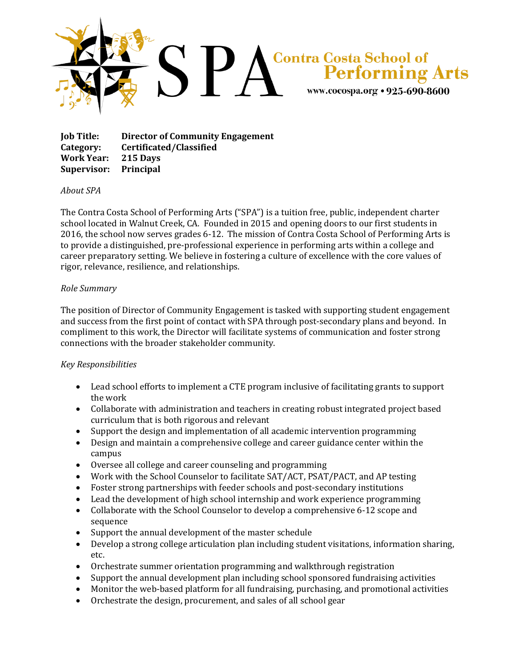

**Job Title: Director of Community Engagement Category: Certificated/Classified Work Year: 215 Days Supervisor: Principal**

## *About SPA*

The Contra Costa School of Performing Arts ("SPA") is a tuition free, public, independent charter school located in Walnut Creek, CA. Founded in 2015 and opening doors to our first students in 2016, the school now serves grades 6-12. The mission of Contra Costa School of Performing Arts is to provide a distinguished, pre-professional experience in performing arts within a college and career preparatory setting. We believe in fostering a culture of excellence with the core values of rigor, relevance, resilience, and relationships.

## *Role Summary*

The position of Director of Community Engagement is tasked with supporting student engagement and success from the first point of contact with SPA through post-secondary plans and beyond. In compliment to this work, the Director will facilitate systems of communication and foster strong connections with the broader stakeholder community.

## *Key Responsibilities*

- Lead school efforts to implement a CTE program inclusive of facilitating grants to support the work
- Collaborate with administration and teachers in creating robust integrated project based curriculum that is both rigorous and relevant
- Support the design and implementation of all academic intervention programming
- Design and maintain a comprehensive college and career guidance center within the campus
- Oversee all college and career counseling and programming
- Work with the School Counselor to facilitate SAT/ACT, PSAT/PACT, and AP testing
- Foster strong partnerships with feeder schools and post-secondary institutions
- Lead the development of high school internship and work experience programming
- Collaborate with the School Counselor to develop a comprehensive 6-12 scope and sequence
- Support the annual development of the master schedule
- Develop a strong college articulation plan including student visitations, information sharing, etc.
- Orchestrate summer orientation programming and walkthrough registration
- Support the annual development plan including school sponsored fundraising activities
- Monitor the web-based platform for all fundraising, purchasing, and promotional activities
- Orchestrate the design, procurement, and sales of all school gear